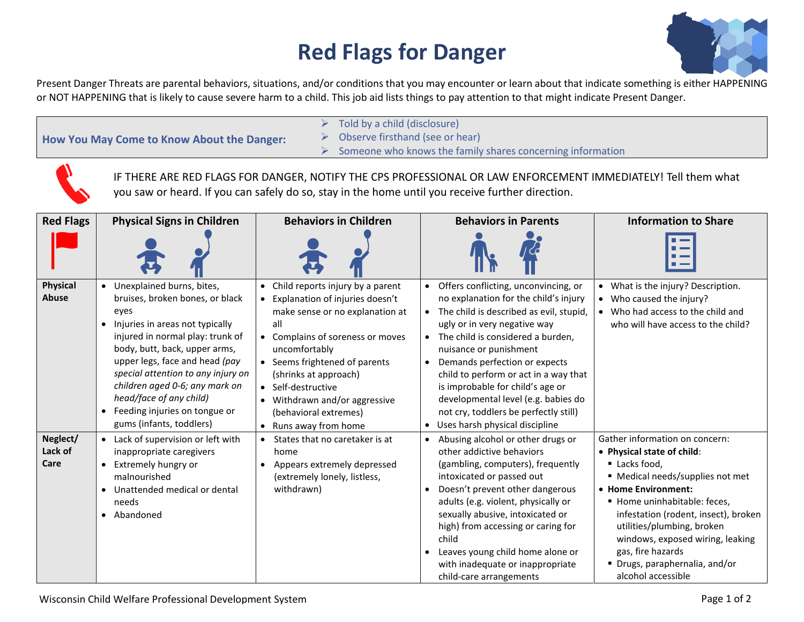## **Red Flags for Danger**



Present Danger Threats are parental behaviors, situations, and/or conditions that you may encounter or learn about that indicate something is either HAPPENING or NOT HAPPENING that is likely to cause severe harm to a child. This job aid lists things to pay attention to that might indicate Present Danger.

**How You May Come to Know About the Danger:**

- $\triangleright$  Told by a child (disclosure)
- $\triangleright$  Observe firsthand (see or hear)

 $\triangleright$  Someone who knows the family shares concerning information



IF THERE ARE RED FLAGS FOR DANGER, NOTIFY THE CPS PROFESSIONAL OR LAW ENFORCEMENT IMMEDIATELY! Tell them what you saw or heard. If you can safely do so, stay in the home until you receive further direction.

| <b>Red Flags</b> | <b>Physical Signs in Children</b>                                      | <b>Behaviors in Children</b>                                       | <b>Behaviors in Parents</b>                                                         | <b>Information to Share</b>                                              |
|------------------|------------------------------------------------------------------------|--------------------------------------------------------------------|-------------------------------------------------------------------------------------|--------------------------------------------------------------------------|
|                  |                                                                        |                                                                    |                                                                                     |                                                                          |
| <b>Physical</b>  | Unexplained burns, bites,<br>$\bullet$                                 | Child reports injury by a parent<br>$\bullet$                      | • Offers conflicting, unconvincing, or                                              | What is the injury? Description.<br>$\bullet$                            |
| Abuse            | bruises, broken bones, or black<br>eyes                                | Explanation of injuries doesn't<br>make sense or no explanation at | no explanation for the child's injury<br>• The child is described as evil, stupid,  | Who caused the injury?<br>$\bullet$<br>• Who had access to the child and |
|                  | Injuries in areas not typically                                        | all                                                                | ugly or in very negative way                                                        | who will have access to the child?                                       |
|                  | injured in normal play: trunk of<br>body, butt, back, upper arms,      | Complains of soreness or moves<br>$\bullet$<br>uncomfortably       | • The child is considered a burden,<br>nuisance or punishment                       |                                                                          |
|                  | upper legs, face and head (pay<br>special attention to any injury on   | • Seems frightened of parents<br>(shrinks at approach)             | Demands perfection or expects<br>$\bullet$<br>child to perform or act in a way that |                                                                          |
|                  | children aged 0-6; any mark on                                         | • Self-destructive                                                 | is improbable for child's age or                                                    |                                                                          |
|                  | head/face of any child)                                                | Withdrawn and/or aggressive<br>$\bullet$                           | developmental level (e.g. babies do                                                 |                                                                          |
|                  | Feeding injuries on tongue or<br>$\bullet$<br>gums (infants, toddlers) | (behavioral extremes)<br>Runs away from home<br>$\bullet$          | not cry, toddlers be perfectly still)<br>• Uses harsh physical discipline           |                                                                          |
| Neglect/         | Lack of supervision or left with<br>$\bullet$                          | States that no caretaker is at                                     | • Abusing alcohol or other drugs or                                                 | Gather information on concern:                                           |
| Lack of          | inappropriate caregivers                                               | home                                                               | other addictive behaviors                                                           | • Physical state of child:                                               |
| Care             | Extremely hungry or<br>$\bullet$<br>malnourished                       | Appears extremely depressed<br>(extremely lonely, listless,        | (gambling, computers), frequently<br>intoxicated or passed out                      | ■ Lacks food.<br>• Medical needs/supplies not met                        |
|                  | Unattended medical or dental<br>$\bullet$                              | withdrawn)                                                         | Doesn't prevent other dangerous                                                     | • Home Environment:                                                      |
|                  | needs                                                                  |                                                                    | adults (e.g. violent, physically or                                                 | Home uninhabitable: feces,                                               |
|                  | Abandoned                                                              |                                                                    | sexually abusive, intoxicated or<br>high) from accessing or caring for              | infestation (rodent, insect), broken<br>utilities/plumbing, broken       |
|                  |                                                                        |                                                                    | child                                                                               | windows, exposed wiring, leaking                                         |
|                  |                                                                        |                                                                    | Leaves young child home alone or                                                    | gas, fire hazards                                                        |
|                  |                                                                        |                                                                    | with inadequate or inappropriate                                                    | • Drugs, paraphernalia, and/or                                           |
|                  |                                                                        |                                                                    | child-care arrangements                                                             | alcohol accessible                                                       |